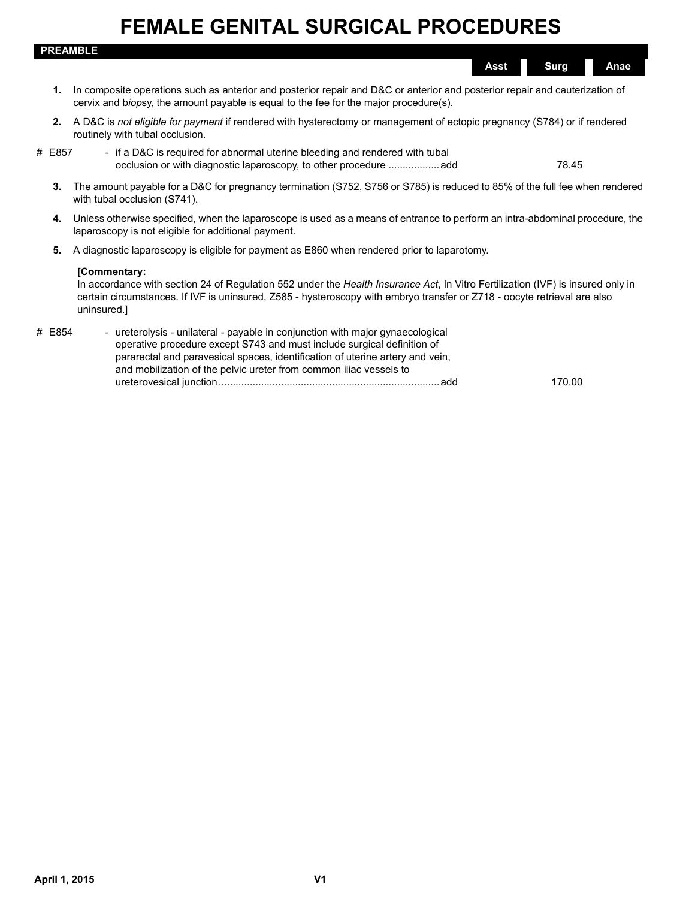|        | <b>PREAMBLE</b>                                                                                                                                                                                                                                                                                                  |
|--------|------------------------------------------------------------------------------------------------------------------------------------------------------------------------------------------------------------------------------------------------------------------------------------------------------------------|
|        | <b>Surg</b><br>Anae<br><b>Asst</b>                                                                                                                                                                                                                                                                               |
| 1.     | In composite operations such as anterior and posterior repair and D&C or anterior and posterior repair and cauterization of<br>cervix and biopsy, the amount payable is equal to the fee for the major procedure(s).                                                                                             |
| 2.     | A D&C is not eligible for payment if rendered with hysterectomy or management of ectopic pregnancy (S784) or if rendered<br>routinely with tubal occlusion.                                                                                                                                                      |
| # E857 | - if a D&C is required for abnormal uterine bleeding and rendered with tubal<br>occlusion or with diagnostic laparoscopy, to other procedure add<br>78.45                                                                                                                                                        |
| 3.     | The amount payable for a D&C for pregnancy termination (S752, S756 or S785) is reduced to 85% of the full fee when rendered<br>with tubal occlusion (S741).                                                                                                                                                      |
| 4.     | Unless otherwise specified, when the laparoscope is used as a means of entrance to perform an intra-abdominal procedure, the<br>laparoscopy is not eligible for additional payment.                                                                                                                              |
| 5.     | A diagnostic laparoscopy is eligible for payment as E860 when rendered prior to laparotomy.                                                                                                                                                                                                                      |
|        | [Commentary:<br>In accordance with section 24 of Regulation 552 under the Health Insurance Act, In Vitro Fertilization (IVF) is insured only in<br>certain circumstances. If IVF is uninsured, Z585 - hysteroscopy with embryo transfer or Z718 - oocyte retrieval are also<br>uninsured.]                       |
| # E854 | - ureterolysis - unilateral - payable in conjunction with major gynaecological<br>operative procedure except S743 and must include surgical definition of<br>pararectal and paravesical spaces, identification of uterine artery and vein,<br>and mobilization of the pelvic ureter from common iliac vessels to |

ureterovesical junction..............................................................................add 170.00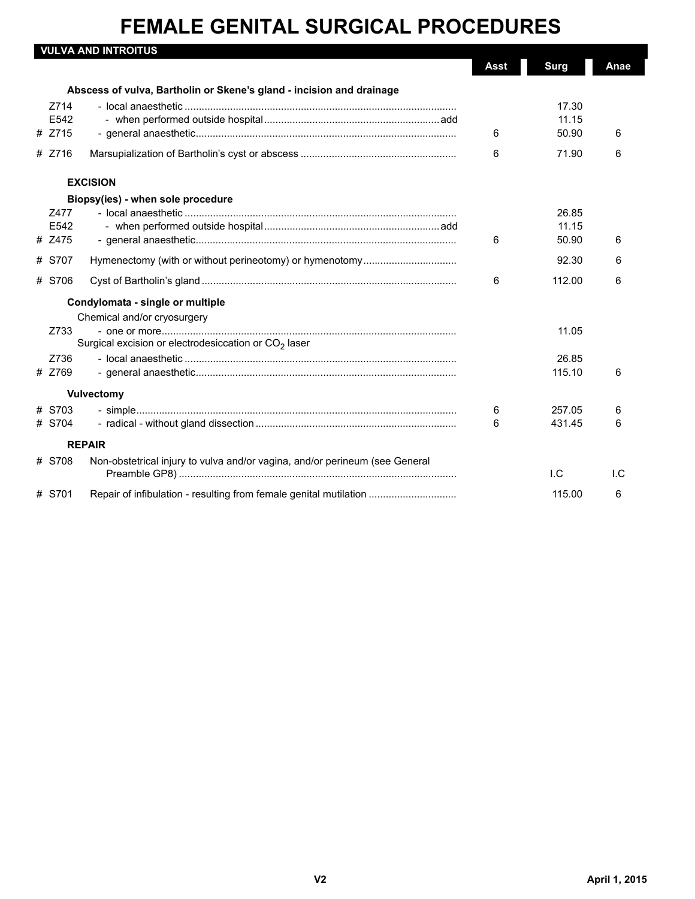|                        | <b>VULVA AND INTROITUS</b>                                                  | <b>Asst</b> | <b>Surg</b>             | Anae |
|------------------------|-----------------------------------------------------------------------------|-------------|-------------------------|------|
|                        | Abscess of vulva, Bartholin or Skene's gland - incision and drainage        |             |                         |      |
| Z714<br>E542<br># Z715 |                                                                             | 6           | 17.30<br>11.15<br>50.90 | 6    |
| # Z716                 |                                                                             | 6           | 71.90                   | 6    |
|                        | <b>EXCISION</b>                                                             |             |                         |      |
|                        | Biopsy(ies) - when sole procedure                                           |             |                         |      |
| Z477<br>E542<br># Z475 |                                                                             | 6           | 26.85<br>11.15<br>50.90 | 6    |
| # S707                 |                                                                             |             | 92.30                   | 6    |
| # S706                 |                                                                             | 6           | 112.00                  | 6    |
|                        | Condylomata - single or multiple                                            |             |                         |      |
|                        | Chemical and/or cryosurgery                                                 |             |                         |      |
| Z733                   | Surgical excision or electrodesiccation or $CO2$ laser                      |             | 11.05                   |      |
| Z736                   |                                                                             |             | 26.85                   |      |
| # Z769                 |                                                                             |             | 115.10                  | 6    |
|                        | <b>Vulvectomy</b>                                                           |             |                         |      |
| # S703                 |                                                                             | 6           | 257.05                  | 6    |
| # S704                 |                                                                             | 6           | 431.45                  | 6    |
|                        | <b>REPAIR</b>                                                               |             |                         |      |
| # S708                 | Non-obstetrical injury to vulva and/or vagina, and/or perineum (see General |             | $L_{\rm C}$             | I.C  |
| # S701                 | Repair of infibulation - resulting from female genital mutilation           |             | 115.00                  | 6    |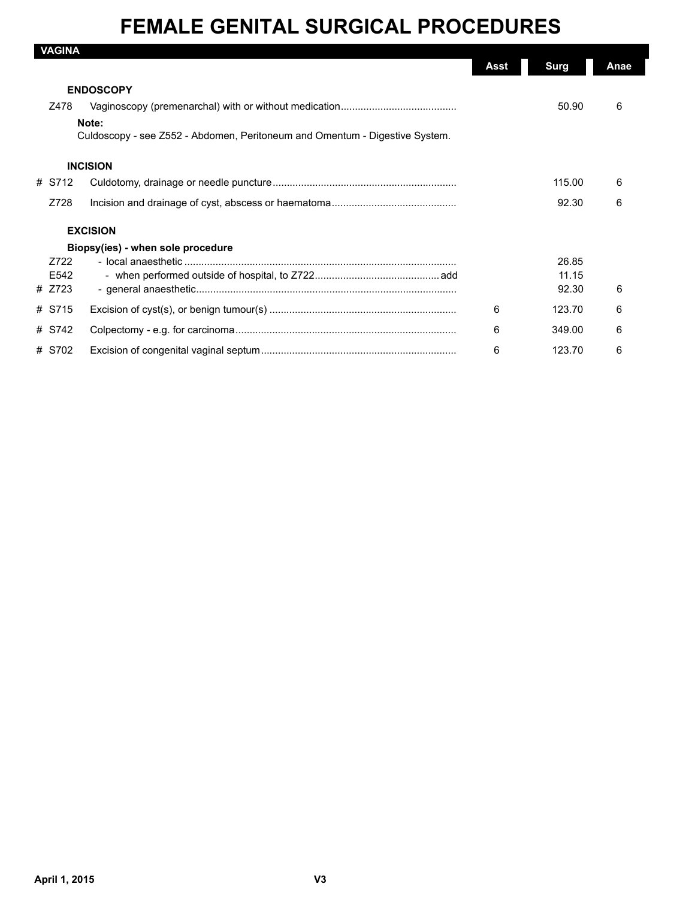| <b>VAGINA</b>    |                                                                             |      |             |      |
|------------------|-----------------------------------------------------------------------------|------|-------------|------|
|                  |                                                                             | Asst | <b>Surg</b> | Anae |
|                  | <b>ENDOSCOPY</b>                                                            |      |             |      |
| Z478             |                                                                             |      | 50.90       | 6    |
|                  | Note:                                                                       |      |             |      |
|                  | Culdoscopy - see Z552 - Abdomen, Peritoneum and Omentum - Digestive System. |      |             |      |
|                  | <b>INCISION</b>                                                             |      |             |      |
| # S712           |                                                                             |      | 115.00      | 6    |
| Z728             |                                                                             |      | 92.30       | 6    |
|                  | <b>EXCISION</b>                                                             |      |             |      |
|                  | Biopsy(ies) - when sole procedure                                           |      |             |      |
| Z722             |                                                                             |      | 26.85       |      |
| F <sub>542</sub> |                                                                             |      | 11.15       |      |
| # Z723           |                                                                             |      | 92.30       | 6    |
|                  |                                                                             |      |             |      |
| # S715           |                                                                             | 6    | 123.70      | 6    |
| # S742           |                                                                             | 6    | 349.00      | 6    |
| # S702           |                                                                             | 6    | 123.70      | 6    |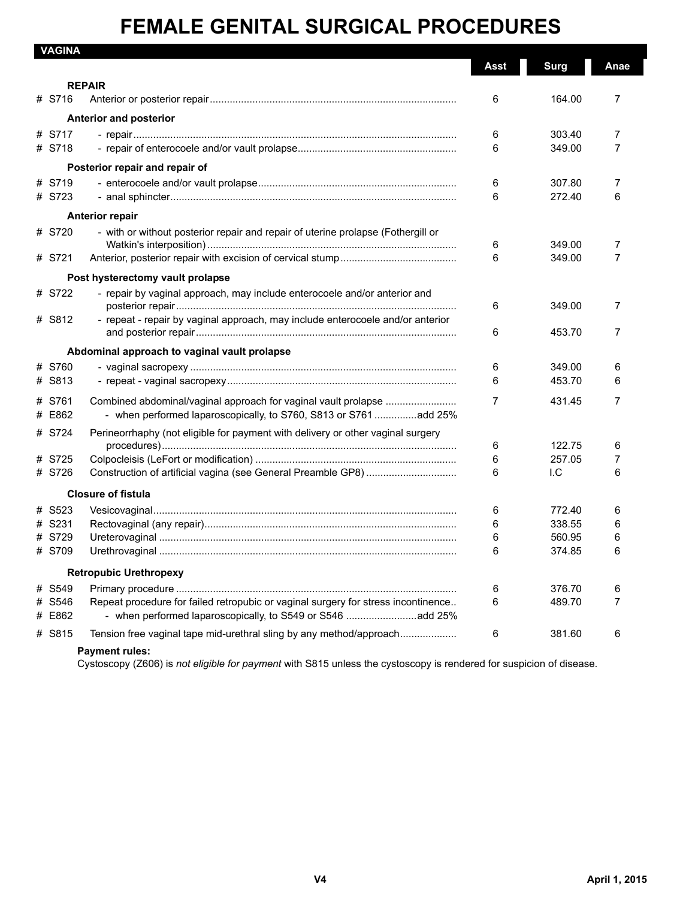| <b>VAGINA</b> |                                                                                   | <b>Asst</b> | <b>Surg</b> | Anae |
|---------------|-----------------------------------------------------------------------------------|-------------|-------------|------|
|               | <b>REPAIR</b>                                                                     |             |             |      |
| # S716        |                                                                                   | 6           | 164.00      | 7    |
|               | <b>Anterior and posterior</b>                                                     |             |             |      |
| # S717        |                                                                                   | 6           | 303.40      | 7    |
| # S718        |                                                                                   | 6           | 349.00      | 7    |
|               | Posterior repair and repair of                                                    |             |             |      |
| # S719        |                                                                                   | 6           | 307.80      | 7    |
| # S723        |                                                                                   | 6           | 272.40      | 6    |
|               | <b>Anterior repair</b>                                                            |             |             |      |
| # S720        | - with or without posterior repair and repair of uterine prolapse (Fothergill or  |             |             |      |
|               |                                                                                   | 6           | 349.00      | 7    |
| # S721        |                                                                                   | 6           | 349.00      | 7    |
|               | Post hysterectomy vault prolapse                                                  |             |             |      |
| # S722        | - repair by vaginal approach, may include enterocoele and/or anterior and         |             |             |      |
|               |                                                                                   | 6           | 349.00      | 7    |
| # S812        | - repeat - repair by vaginal approach, may include enterocoele and/or anterior    |             |             |      |
|               |                                                                                   | 6           | 453.70      | 7    |
|               | Abdominal approach to vaginal vault prolapse                                      |             |             |      |
| # S760        |                                                                                   | 6           | 349.00      | 6    |
| # S813        |                                                                                   | 6           | 453.70      | 6    |
| # S761        | Combined abdominal/vaginal approach for vaginal vault prolapse                    | 7           | 431.45      | 7    |
| # E862        | - when performed laparoscopically, to S760, S813 or S761 add 25%                  |             |             |      |
| # S724        | Perineorrhaphy (not eligible for payment with delivery or other vaginal surgery   |             |             |      |
|               |                                                                                   | 6           | 122.75      | 6    |
| # S725        |                                                                                   | 6           | 257.05      | 7    |
| # S726        |                                                                                   | 6           | I.C         | 6    |
|               | <b>Closure of fistula</b>                                                         |             |             |      |
| # S523        |                                                                                   | 6           | 772.40      | 6    |
| # S231        |                                                                                   | 6           | 338.55      | 6    |
| # S729        |                                                                                   | 6           | 560.95      | 6    |
| # S709        |                                                                                   | 6           | 374.85      | 6    |
|               | <b>Retropubic Urethropexy</b>                                                     |             |             |      |
| # S549        |                                                                                   | 6           | 376.70      | 6    |
| # S546        | Repeat procedure for failed retropubic or vaginal surgery for stress incontinence | 6           | 489.70      | 7    |
| # E862        | - when performed laparoscopically, to S549 or S546 add 25%                        |             |             |      |
| # S815        | Tension free vaginal tape mid-urethral sling by any method/approach               | 6           | 381.60      | 6    |
|               | <b>Payment rules:</b>                                                             |             |             |      |

Cystoscopy (Z606) is *not eligible for payment* with S815 unless the cystoscopy is rendered for suspicion of disease.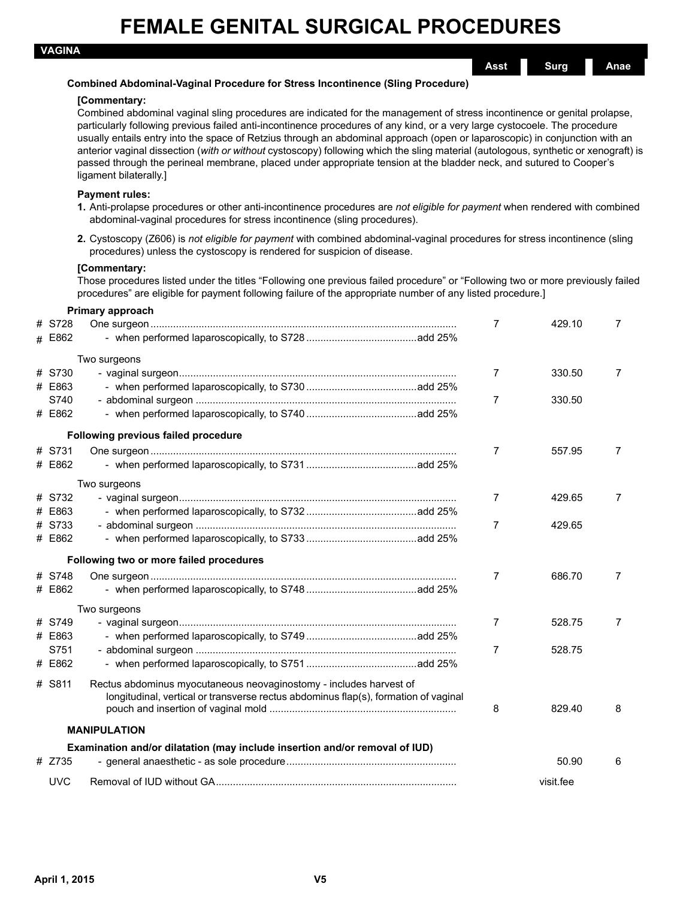**Asst Surg Anae**

### **Combined Abdominal-Vaginal Procedure for Stress Incontinence (Sling Procedure)**

#### **[Commentary:**

Combined abdominal vaginal sling procedures are indicated for the management of stress incontinence or genital prolapse, particularly following previous failed anti-incontinence procedures of any kind, or a very large cystocoele. The procedure usually entails entry into the space of Retzius through an abdominal approach (open or laparoscopic) in conjunction with an anterior vaginal dissection (*with or without* cystoscopy) following which the sling material (autologous, synthetic or xenograft) is passed through the perineal membrane, placed under appropriate tension at the bladder neck, and sutured to Cooper's ligament bilaterally.]

#### **Payment rules:**

- **1.** Anti-prolapse procedures or other anti-incontinence procedures are *not eligible for payment* when rendered with combined abdominal-vaginal procedures for stress incontinence (sling procedures).
- **2.** Cystoscopy (Z606) is *not eligible for payment* with combined abdominal-vaginal procedures for stress incontinence (sling procedures) unless the cystoscopy is rendered for suspicion of disease.

#### **[Commentary:**

**Primary approach**

Those procedures listed under the titles "Following one previous failed procedure" or "Following two or more previously failed procedures" are eligible for payment following failure of the appropriate number of any listed procedure.]

|            | Primary approach                                                                    |   |           |                |
|------------|-------------------------------------------------------------------------------------|---|-----------|----------------|
| # S728     |                                                                                     | 7 | 429.10    | $\overline{7}$ |
| # E862     |                                                                                     |   |           |                |
|            | Two surgeons                                                                        |   |           |                |
| # S730     |                                                                                     | 7 | 330.50    | $\overline{7}$ |
| # E863     |                                                                                     |   |           |                |
| S740       |                                                                                     | 7 | 330.50    |                |
| # E862     |                                                                                     |   |           |                |
|            | Following previous failed procedure                                                 |   |           |                |
| # S731     |                                                                                     | 7 | 557.95    | 7              |
| # E862     |                                                                                     |   |           |                |
|            | Two surgeons                                                                        |   |           |                |
| # S732     |                                                                                     | 7 | 429.65    | $\overline{7}$ |
| # E863     |                                                                                     |   |           |                |
| # S733     |                                                                                     | 7 | 429.65    |                |
| # E862     |                                                                                     |   |           |                |
|            | Following two or more failed procedures                                             |   |           |                |
| # S748     |                                                                                     | 7 | 686.70    | $\overline{7}$ |
| # E862     |                                                                                     |   |           |                |
|            | Two surgeons                                                                        |   |           |                |
| # S749     |                                                                                     | 7 | 528.75    | $\overline{7}$ |
| # E863     |                                                                                     |   |           |                |
| S751       |                                                                                     | 7 | 528.75    |                |
| # E862     |                                                                                     |   |           |                |
| # S811     | Rectus abdominus myocutaneous neovaginostomy - includes harvest of                  |   |           |                |
|            | longitudinal, vertical or transverse rectus abdominus flap(s), formation of vaginal |   |           |                |
|            |                                                                                     | 8 | 829.40    | 8              |
|            | <b>MANIPULATION</b>                                                                 |   |           |                |
|            | Examination and/or dilatation (may include insertion and/or removal of IUD)         |   |           |                |
| # Z735     |                                                                                     |   | 50.90     | 6              |
| <b>UVC</b> |                                                                                     |   | visit.fee |                |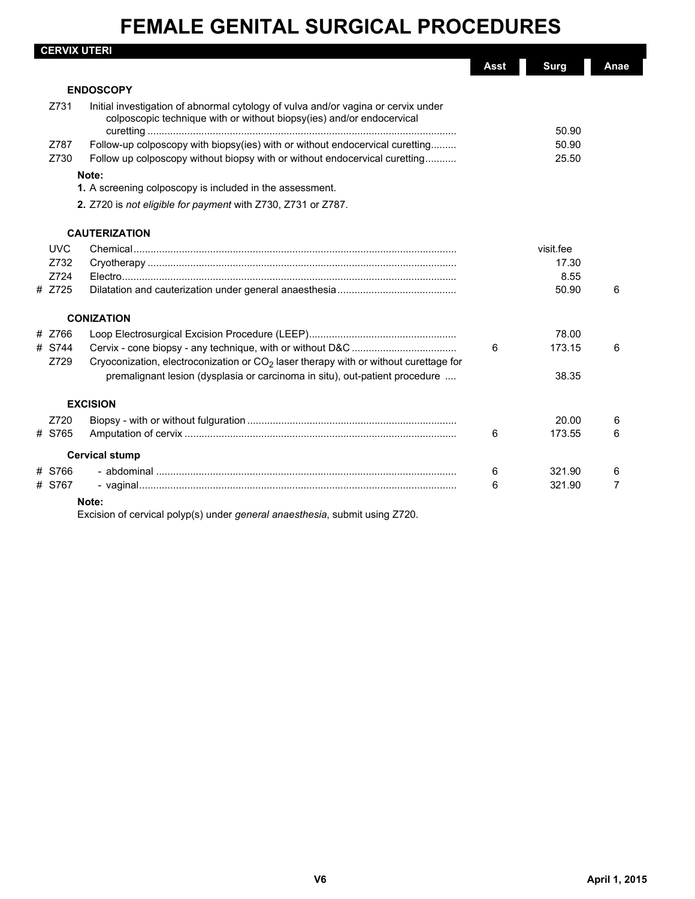| <b>CERVIX UTERI</b> |                                                                                                                                                            | Asst | <b>Surg</b> | Anae |
|---------------------|------------------------------------------------------------------------------------------------------------------------------------------------------------|------|-------------|------|
|                     | <b>ENDOSCOPY</b>                                                                                                                                           |      |             |      |
| Z731                | Initial investigation of abnormal cytology of vulva and/or vagina or cervix under<br>colposcopic technique with or without biopsy(ies) and/or endocervical |      | 50.90       |      |
| Z787                | Follow-up colposcopy with biopsy(ies) with or without endocervical curetting                                                                               |      | 50.90       |      |
| Z730                | Follow up colposcopy without biopsy with or without endocervical curetting                                                                                 |      | 25.50       |      |
|                     | Note:                                                                                                                                                      |      |             |      |
|                     | 1. A screening colposcopy is included in the assessment.                                                                                                   |      |             |      |
|                     | 2. Z720 is not eligible for payment with Z730, Z731 or Z787.                                                                                               |      |             |      |
|                     | <b>CAUTERIZATION</b>                                                                                                                                       |      |             |      |
| <b>UVC</b>          |                                                                                                                                                            |      | visit.fee   |      |
| Z732                |                                                                                                                                                            |      | 17.30       |      |
| Z724                |                                                                                                                                                            |      | 8.55        |      |
| # Z725              |                                                                                                                                                            |      | 50.90       | 6    |
|                     | <b>CONIZATION</b>                                                                                                                                          |      |             |      |
| # Z766              |                                                                                                                                                            |      | 78.00       |      |
| # S744              |                                                                                                                                                            | 6    | 173.15      | 6    |
| Z729                | Cryoconization, electroconization or CO <sub>2</sub> laser therapy with or without curettage for                                                           |      |             |      |
|                     | premalignant lesion (dysplasia or carcinoma in situ), out-patient procedure                                                                                |      | 38.35       |      |
|                     | <b>EXCISION</b>                                                                                                                                            |      |             |      |
| Z720                |                                                                                                                                                            |      | 20.00       | 6    |
| # S765              |                                                                                                                                                            | 6    | 173.55      | 6    |
|                     | <b>Cervical stump</b>                                                                                                                                      |      |             |      |
| # S766              |                                                                                                                                                            | 6    | 321.90      | 6    |
| # S767              |                                                                                                                                                            | 6    | 321.90      | 7    |
|                     | Note:                                                                                                                                                      |      |             |      |

Excision of cervical polyp(s) under *general anaesthesia*, submit using Z720.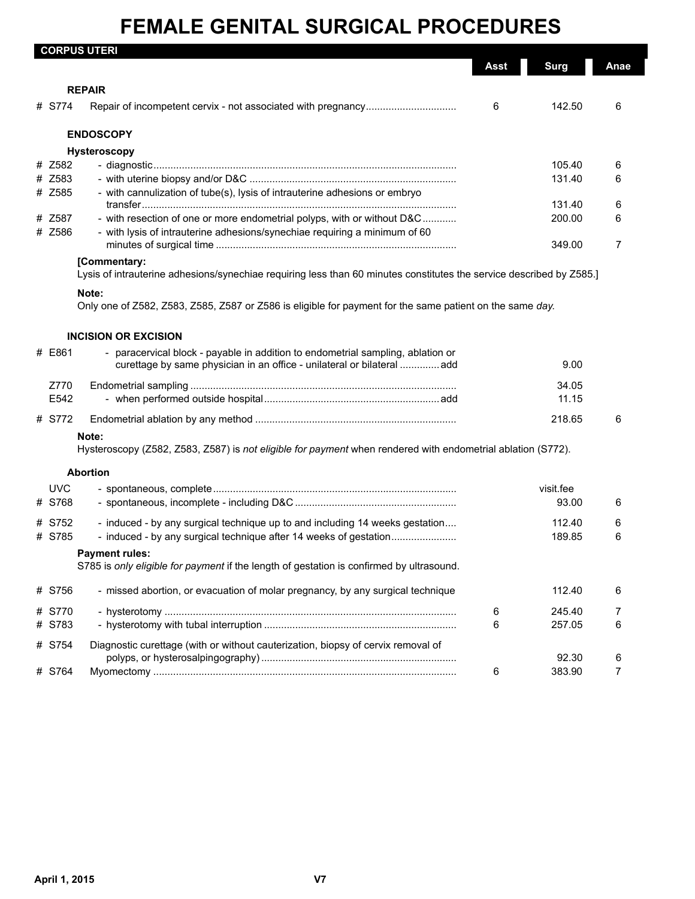|                  | <b>CORPUS UTERI</b>                                                                                                                               |      |                  |        |
|------------------|---------------------------------------------------------------------------------------------------------------------------------------------------|------|------------------|--------|
|                  |                                                                                                                                                   | Asst | <b>Surg</b>      | Anae   |
|                  | <b>REPAIR</b>                                                                                                                                     |      |                  |        |
| # S774           |                                                                                                                                                   | 6    | 142.50           | 6      |
|                  | <b>ENDOSCOPY</b>                                                                                                                                  |      |                  |        |
|                  | Hysteroscopy                                                                                                                                      |      |                  |        |
| # Z582           |                                                                                                                                                   |      | 105.40           | 6      |
| # Z583           |                                                                                                                                                   |      | 131.40           | 6      |
| # Z585           | - with cannulization of tube(s), lysis of intrauterine adhesions or embryo                                                                        |      |                  |        |
|                  |                                                                                                                                                   |      | 131.40           | 6      |
| # Z587           | - with resection of one or more endometrial polyps, with or without D&C                                                                           |      | 200.00           | 6      |
| # Z586           | - with lysis of intrauterine adhesions/synechiae requiring a minimum of 60                                                                        |      | 349.00           | 7      |
|                  | [Commentary:<br>Lysis of intrauterine adhesions/synechiae requiring less than 60 minutes constitutes the service described by Z585.]              |      |                  |        |
|                  | Note:                                                                                                                                             |      |                  |        |
|                  | Only one of Z582, Z583, Z585, Z587 or Z586 is eligible for payment for the same patient on the same day.                                          |      |                  |        |
|                  | <b>INCISION OR EXCISION</b>                                                                                                                       |      |                  |        |
| # E861           | - paracervical block - payable in addition to endometrial sampling, ablation or                                                                   |      |                  |        |
|                  | curettage by same physician in an office - unilateral or bilateral add                                                                            |      | 9.00             |        |
| Z770             |                                                                                                                                                   |      | 34.05            |        |
| E542             |                                                                                                                                                   |      | 11.15            |        |
| # S772           |                                                                                                                                                   |      | 218.65           | 6      |
|                  | Note:<br>Hysteroscopy (Z582, Z583, Z587) is not eligible for payment when rendered with endometrial ablation (S772).                              |      |                  |        |
|                  | <b>Abortion</b>                                                                                                                                   |      |                  |        |
| <b>UVC</b>       |                                                                                                                                                   |      | visit.fee        |        |
| # S768           |                                                                                                                                                   |      | 93.00            | 6      |
|                  |                                                                                                                                                   |      |                  |        |
| # S752<br># S785 | - induced - by any surgical technique up to and including 14 weeks gestation<br>- induced - by any surgical technique after 14 weeks of gestation |      | 112.40<br>189.85 | 6<br>6 |
|                  | <b>Payment rules:</b>                                                                                                                             |      |                  |        |
|                  | S785 is only eligible for payment if the length of gestation is confirmed by ultrasound.                                                          |      |                  |        |
| # S756           | - missed abortion, or evacuation of molar pregnancy, by any surgical technique                                                                    |      | 112.40           | 6      |
| # S770           |                                                                                                                                                   | 6    | 245.40           | 7      |
| # S783           |                                                                                                                                                   | 6    | 257.05           | 6      |
| # S754           | Diagnostic curettage (with or without cauterization, biopsy of cervix removal of                                                                  |      |                  |        |
|                  |                                                                                                                                                   |      |                  |        |
| # S764           |                                                                                                                                                   | 6    | 92.30<br>383.90  | 6<br>7 |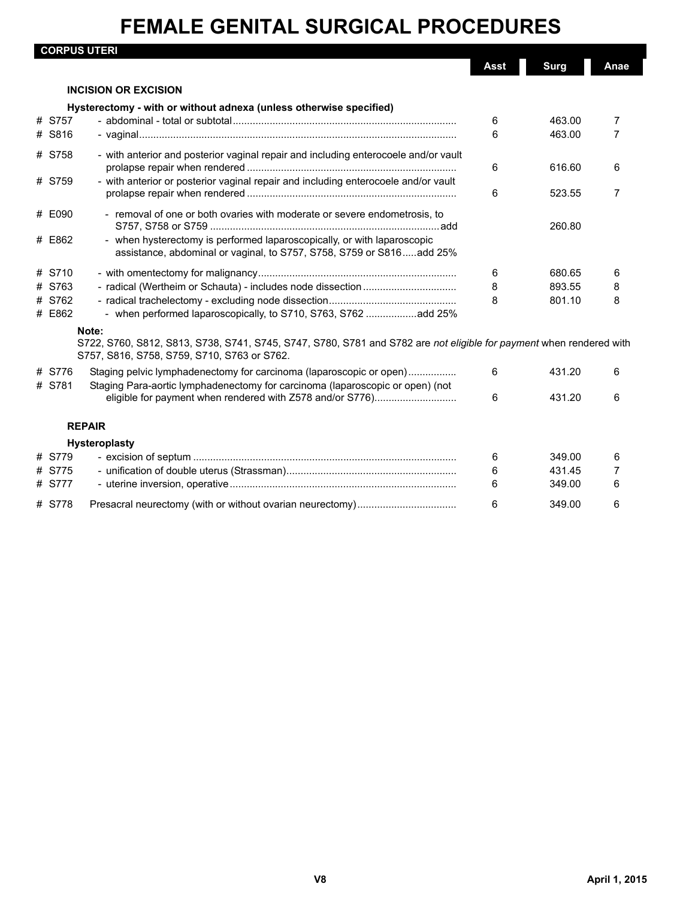|                  | <b>CORPUS UTERI</b>                                                                                                                                                         |      |             |                |
|------------------|-----------------------------------------------------------------------------------------------------------------------------------------------------------------------------|------|-------------|----------------|
|                  |                                                                                                                                                                             | Asst | <b>Surg</b> | Anae           |
|                  | <b>INCISION OR EXCISION</b>                                                                                                                                                 |      |             |                |
|                  | Hysterectomy - with or without adnexa (unless otherwise specified)                                                                                                          |      |             |                |
| # S757           |                                                                                                                                                                             | 6    | 463.00      | 7              |
| # S816           |                                                                                                                                                                             | 6    | 463.00      | $\overline{7}$ |
| # S758           | - with anterior and posterior vaginal repair and including enterocoele and/or vault                                                                                         | 6    | 616.60      | 6              |
| # S759           | - with anterior or posterior vaginal repair and including enterocoele and/or vault                                                                                          | 6    | 523.55      | 7              |
| # E090           | - removal of one or both ovaries with moderate or severe endometrosis, to                                                                                                   |      | 260.80      |                |
| # E862           | - when hysterectomy is performed laparoscopically, or with laparoscopic<br>assistance, abdominal or vaginal, to S757, S758, S759 or S816add 25%                             |      |             |                |
| # S710           |                                                                                                                                                                             | 6    | 680.65      | 6              |
| # S763           |                                                                                                                                                                             | 8    | 893.55      | 8              |
| # S762<br># E862 | - when performed laparoscopically, to S710, S763, S762 add 25%                                                                                                              | 8    | 801.10      | 8              |
|                  | Note:<br>S722, S760, S812, S813, S738, S741, S745, S747, S780, S781 and S782 are not eligible for payment when rendered with<br>S757, S816, S758, S759, S710, S763 or S762. |      |             |                |
| # S776<br># S781 | Staging pelvic lymphadenectomy for carcinoma (laparoscopic or open)<br>Staging Para-aortic lymphadenectomy for carcinoma (laparoscopic or open) (not                        | 6    | 431.20      | 6              |
|                  | eligible for payment when rendered with Z578 and/or S776)                                                                                                                   | 6    | 431.20      | 6              |
|                  | <b>REPAIR</b>                                                                                                                                                               |      |             |                |
|                  | Hysteroplasty                                                                                                                                                               |      |             |                |
| # S779           |                                                                                                                                                                             | 6    | 349.00      | 6              |
| # S775           |                                                                                                                                                                             | 6    | 431.45      | 7              |
| # S777           |                                                                                                                                                                             | 6    | 349.00      | 6              |
| # S778           |                                                                                                                                                                             | 6    | 349.00      | 6              |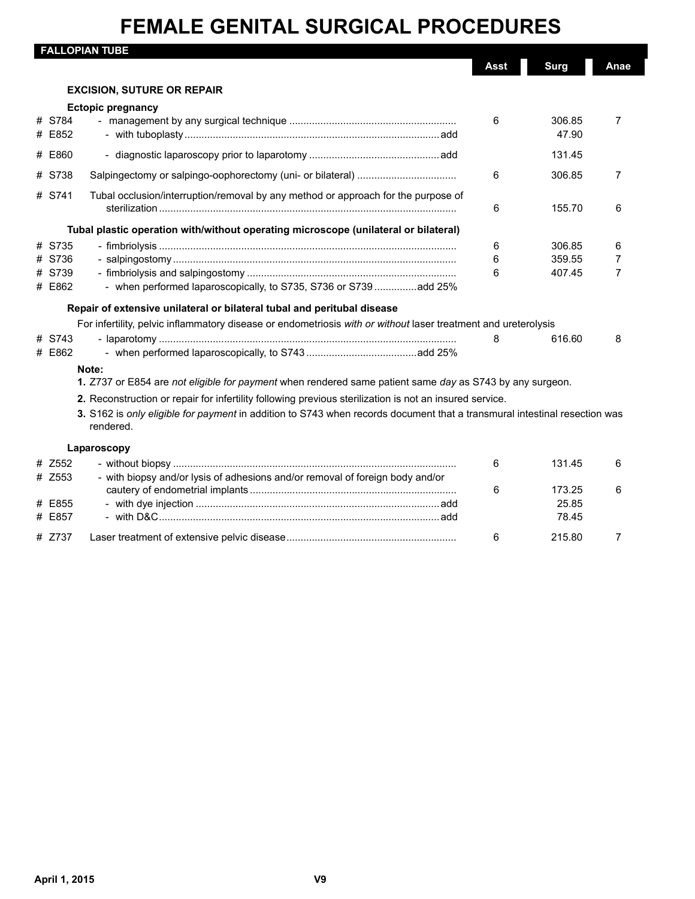$\overline{\phantom{a}}$ 

|                  | <b>FALLOPIAN TUBE</b>                                                                                                                  |        |                  |                     |
|------------------|----------------------------------------------------------------------------------------------------------------------------------------|--------|------------------|---------------------|
|                  |                                                                                                                                        | Asst   | <b>Surg</b>      | Anae                |
|                  | <b>EXCISION, SUTURE OR REPAIR</b>                                                                                                      |        |                  |                     |
|                  | <b>Ectopic pregnancy</b>                                                                                                               |        |                  |                     |
| # S784<br># E852 |                                                                                                                                        | 6      | 306.85<br>47.90  | $\overline{7}$      |
| # E860           |                                                                                                                                        |        | 131.45           |                     |
| # S738           |                                                                                                                                        | 6      | 306.85           | $\overline{7}$      |
| # S741           | Tubal occlusion/interruption/removal by any method or approach for the purpose of                                                      | 6      | 155.70           | 6                   |
|                  | Tubal plastic operation with/without operating microscope (unilateral or bilateral)                                                    |        |                  |                     |
| # S735           |                                                                                                                                        | 6      | 306.85           | 6                   |
| # S736<br>S739   |                                                                                                                                        | 6<br>6 | 359.55<br>407.45 | 7<br>$\overline{7}$ |
| # E862           | - when performed laparoscopically, to S735, S736 or S739 add 25%                                                                       |        |                  |                     |
|                  | Repair of extensive unilateral or bilateral tubal and peritubal disease                                                                |        |                  |                     |
|                  | For infertility, pelvic inflammatory disease or endometriosis with or without laser treatment and ureterolysis                         |        |                  |                     |
| # S743           |                                                                                                                                        | 8      | 616.60           | 8                   |
| # E862           |                                                                                                                                        |        |                  |                     |
|                  | Note:<br>1. Z737 or E854 are not eligible for payment when rendered same patient same day as S743 by any surgeon.                      |        |                  |                     |
|                  | 2. Reconstruction or repair for infertility following previous sterilization is not an insured service.                                |        |                  |                     |
|                  | 3. S162 is only eligible for payment in addition to S743 when records document that a transmural intestinal resection was<br>rendered. |        |                  |                     |
|                  | Laparoscopy                                                                                                                            |        |                  |                     |
| # Z552           |                                                                                                                                        | 6      | 131.45           | 6                   |
| # Z553           | - with biopsy and/or lysis of adhesions and/or removal of foreign body and/or                                                          | 6      | 173.25           | 6                   |
| E855             |                                                                                                                                        |        | 25.85            |                     |
| # E857           |                                                                                                                                        |        | 78.45            |                     |
| # Z737           |                                                                                                                                        | 6      | 215.80           | $\overline{7}$      |